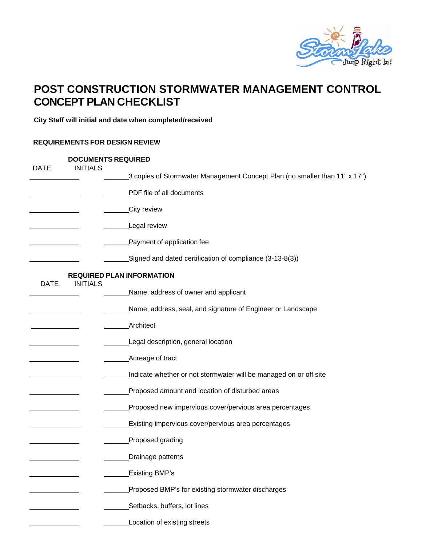

## **POST CONSTRUCTION STORMWATER MANAGEMENT CONTROL CONCEPT PLAN CHECKLIST**

**City Staff will initial and date when completed/received**

## **REQUIREMENTS FOR DESIGN REVIEW**

| <b>DATE</b> | <b>DOCUMENTS REQUIRED</b><br><b>INITIALS</b> |                                                                            |  |
|-------------|----------------------------------------------|----------------------------------------------------------------------------|--|
|             |                                              | 3 copies of Stormwater Management Concept Plan (no smaller than 11" x 17") |  |
|             |                                              | PDF file of all documents                                                  |  |
|             |                                              | ____City review                                                            |  |
|             |                                              | Legal review                                                               |  |
|             |                                              | Payment of application fee                                                 |  |
|             |                                              | Signed and dated certification of compliance (3-13-8(3))                   |  |
| <b>DATE</b> | <b>INITIALS</b>                              | <b>REQUIRED PLAN INFORMATION</b>                                           |  |
|             |                                              | Name, address of owner and applicant                                       |  |
|             |                                              | Name, address, seal, and signature of Engineer or Landscape                |  |
|             |                                              | <b>Architect</b>                                                           |  |
|             |                                              | Legal description, general location                                        |  |
|             |                                              | Acreage of tract                                                           |  |
|             |                                              | Indicate whether or not stormwater will be managed on or off site          |  |
|             |                                              | Proposed amount and location of disturbed areas                            |  |
|             |                                              | Proposed new impervious cover/pervious area percentages                    |  |
|             |                                              | Existing impervious cover/pervious area percentages                        |  |
|             |                                              | Proposed grading                                                           |  |
|             |                                              | Drainage patterns                                                          |  |
|             |                                              | <b>Existing BMP's</b>                                                      |  |
|             |                                              | Proposed BMP's for existing stormwater discharges                          |  |
|             |                                              | Setbacks, buffers, lot lines                                               |  |
|             |                                              | Location of existing streets                                               |  |